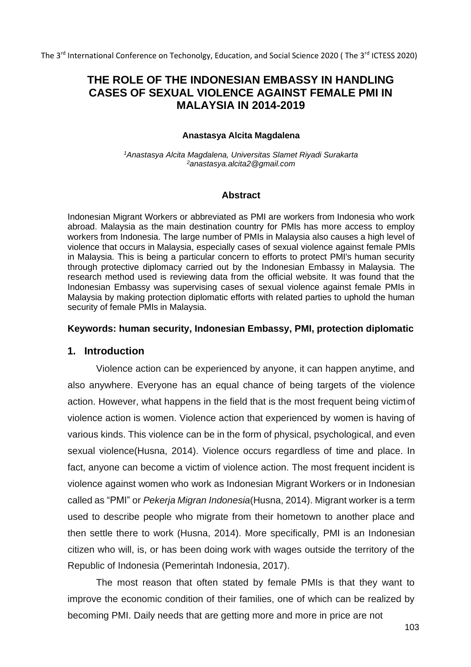The 3<sup>rd</sup> International Conference on Techonolgy, Education, and Social Science 2020 (The 3<sup>rd</sup> ICTESS 2020)

# **THE ROLE OF THE INDONESIAN EMBASSY IN HANDLING CASES OF SEXUAL VIOLENCE AGAINST FEMALE PMI IN MALAYSIA IN 2014-2019**

#### **Anastasya Alcita Magdalena**

*<sup>1</sup>Anastasya Alcita Magdalena, Universitas Slamet Riyadi Surakarta <sup>2</sup>[anastasya.alcita2@gmail.com](mailto:2anastasya.alcita2@gmail.com)*

### **Abstract**

Indonesian Migrant Workers or abbreviated as PMI are workers from Indonesia who work abroad. Malaysia as the main destination country for PMIs has more access to employ workers from Indonesia. The large number of PMIs in Malaysia also causes a high level of violence that occurs in Malaysia, especially cases of sexual violence against female PMIs in Malaysia. This is being a particular concern to efforts to protect PMI's human security through protective diplomacy carried out by the Indonesian Embassy in Malaysia. The research method used is reviewing data from the official website. It was found that the Indonesian Embassy was supervising cases of sexual violence against female PMIs in Malaysia by making protection diplomatic efforts with related parties to uphold the human security of female PMIs in Malaysia.

### **Keywords: human security, Indonesian Embassy, PMI, protection diplomatic**

### **1. Introduction**

Violence action can be experienced by anyone, it can happen anytime, and also anywhere. Everyone has an equal chance of being targets of the violence action. However, what happens in the field that is the most frequent being victimof violence action is women. Violence action that experienced by women is having of various kinds. This violence can be in the form of physical, psychological, and even sexual violence(Husna, 2014). Violence occurs regardless of time and place. In fact, anyone can become a victim of violence action. The most frequent incident is violence against women who work as Indonesian Migrant Workers or in Indonesian called as "PMI" or *Pekerja Migran Indonesia*(Husna, 2014). Migrant worker is a term used to describe people who migrate from their hometown to another place and then settle there to work (Husna, 2014). More specifically, PMI is an Indonesian citizen who will, is, or has been doing work with wages outside the territory of the Republic of Indonesia (Pemerintah Indonesia, 2017).

The most reason that often stated by female PMIs is that they want to improve the economic condition of their families, one of which can be realized by becoming PMI. Daily needs that are getting more and more in price are not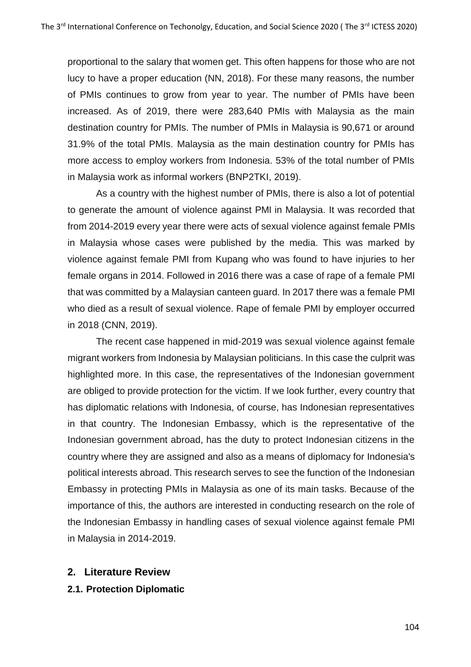proportional to the salary that women get. This often happens for those who are not lucy to have a proper education (NN, 2018). For these many reasons, the number of PMIs continues to grow from year to year. The number of PMIs have been increased. As of 2019, there were 283,640 PMIs with Malaysia as the main destination country for PMIs. The number of PMIs in Malaysia is 90,671 or around 31.9% of the total PMIs. Malaysia as the main destination country for PMIs has more access to employ workers from Indonesia. 53% of the total number of PMIs in Malaysia work as informal workers (BNP2TKI, 2019).

As a country with the highest number of PMIs, there is also a lot of potential to generate the amount of violence against PMI in Malaysia. It was recorded that from 2014-2019 every year there were acts of sexual violence against female PMIs in Malaysia whose cases were published by the media. This was marked by violence against female PMI from Kupang who was found to have injuries to her female organs in 2014. Followed in 2016 there was a case of rape of a female PMI that was committed by a Malaysian canteen guard. In 2017 there was a female PMI who died as a result of sexual violence. Rape of female PMI by employer occurred in 2018 (CNN, 2019).

The recent case happened in mid-2019 was sexual violence against female migrant workers from Indonesia by Malaysian politicians. In this case the culprit was highlighted more. In this case, the representatives of the Indonesian government are obliged to provide protection for the victim. If we look further, every country that has diplomatic relations with Indonesia, of course, has Indonesian representatives in that country. The Indonesian Embassy, which is the representative of the Indonesian government abroad, has the duty to protect Indonesian citizens in the country where they are assigned and also as a means of diplomacy for Indonesia's political interests abroad. This research serves to see the function of the Indonesian Embassy in protecting PMIs in Malaysia as one of its main tasks. Because of the importance of this, the authors are interested in conducting research on the role of the Indonesian Embassy in handling cases of sexual violence against female PMI in Malaysia in 2014-2019.

### **2. Literature Review**

**2.1. Protection Diplomatic**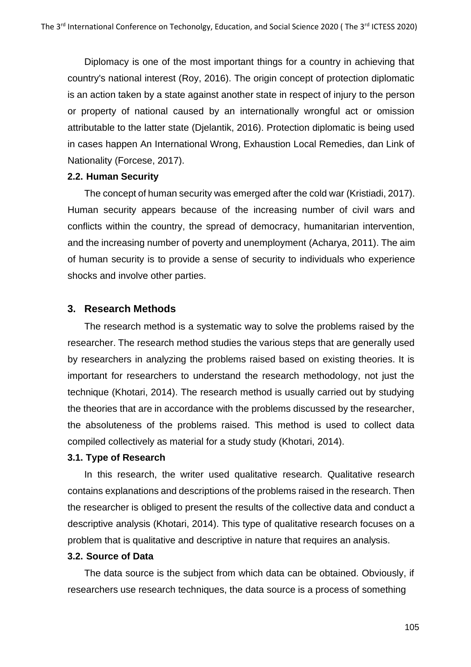Diplomacy is one of the most important things for a country in achieving that country's national interest (Roy, 2016). The origin concept of protection diplomatic is an action taken by a state against another state in respect of injury to the person or property of national caused by an internationally wrongful act or omission attributable to the latter state (Djelantik, 2016). Protection diplomatic is being used in cases happen An International Wrong, Exhaustion Local Remedies, dan Link of Nationality (Forcese, 2017).

#### **2.2. Human Security**

The concept of human security was emerged after the cold war (Kristiadi, 2017). Human security appears because of the increasing number of civil wars and conflicts within the country, the spread of democracy, humanitarian intervention, and the increasing number of poverty and unemployment (Acharya, 2011). The aim of human security is to provide a sense of security to individuals who experience shocks and involve other parties.

### **3. Research Methods**

The research method is a systematic way to solve the problems raised by the researcher. The research method studies the various steps that are generally used by researchers in analyzing the problems raised based on existing theories. It is important for researchers to understand the research methodology, not just the technique (Khotari, 2014). The research method is usually carried out by studying the theories that are in accordance with the problems discussed by the researcher, the absoluteness of the problems raised. This method is used to collect data compiled collectively as material for a study study (Khotari, 2014).

#### **3.1. Type of Research**

In this research, the writer used qualitative research. Qualitative research contains explanations and descriptions of the problems raised in the research. Then the researcher is obliged to present the results of the collective data and conduct a descriptive analysis (Khotari, 2014). This type of qualitative research focuses on a problem that is qualitative and descriptive in nature that requires an analysis.

### **3.2. Source of Data**

The data source is the subject from which data can be obtained. Obviously, if researchers use research techniques, the data source is a process of something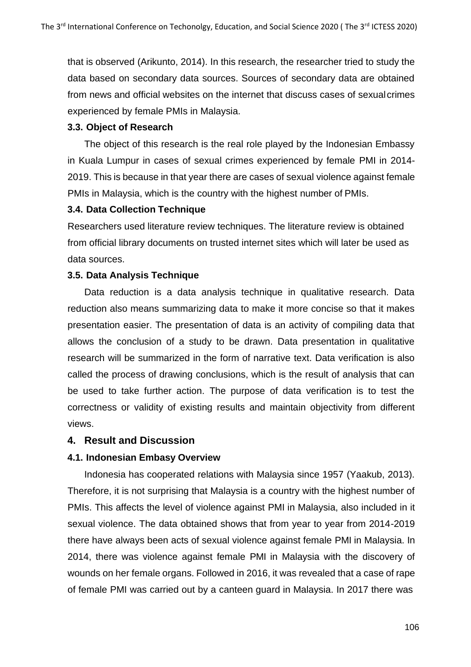that is observed (Arikunto, 2014). In this research, the researcher tried to study the data based on secondary data sources. Sources of secondary data are obtained from news and official websites on the internet that discuss cases of sexualcrimes experienced by female PMIs in Malaysia.

### **3.3. Object of Research**

The object of this research is the real role played by the Indonesian Embassy in Kuala Lumpur in cases of sexual crimes experienced by female PMI in 2014- 2019. This is because in that year there are cases of sexual violence against female PMIs in Malaysia, which is the country with the highest number of PMIs.

### **3.4. Data Collection Technique**

Researchers used literature review techniques. The literature review is obtained from official library documents on trusted internet sites which will later be used as data sources.

# **3.5. Data Analysis Technique**

Data reduction is a data analysis technique in qualitative research. Data reduction also means summarizing data to make it more concise so that it makes presentation easier. The presentation of data is an activity of compiling data that allows the conclusion of a study to be drawn. Data presentation in qualitative research will be summarized in the form of narrative text. Data verification is also called the process of drawing conclusions, which is the result of analysis that can be used to take further action. The purpose of data verification is to test the correctness or validity of existing results and maintain objectivity from different views.

# **4. Result and Discussion**

# **4.1. Indonesian Embasy Overview**

Indonesia has cooperated relations with Malaysia since 1957 (Yaakub, 2013). Therefore, it is not surprising that Malaysia is a country with the highest number of PMIs. This affects the level of violence against PMI in Malaysia, also included in it sexual violence. The data obtained shows that from year to year from 2014-2019 there have always been acts of sexual violence against female PMI in Malaysia. In 2014, there was violence against female PMI in Malaysia with the discovery of wounds on her female organs. Followed in 2016, it was revealed that a case of rape of female PMI was carried out by a canteen guard in Malaysia. In 2017 there was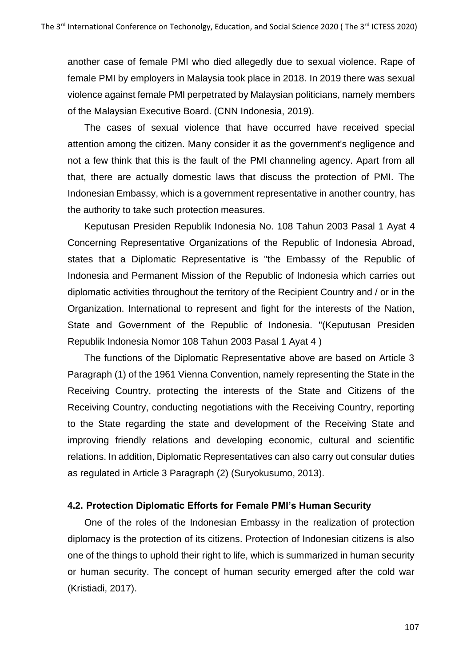another case of female PMI who died allegedly due to sexual violence. Rape of female PMI by employers in Malaysia took place in 2018. In 2019 there was sexual violence against female PMI perpetrated by Malaysian politicians, namely members of the Malaysian Executive Board. (CNN Indonesia, 2019).

The cases of sexual violence that have occurred have received special attention among the citizen. Many consider it as the government's negligence and not a few think that this is the fault of the PMI channeling agency. Apart from all that, there are actually domestic laws that discuss the protection of PMI. The Indonesian Embassy, which is a government representative in another country, has the authority to take such protection measures.

Keputusan Presiden Republik Indonesia No. 108 Tahun 2003 Pasal 1 Ayat 4 Concerning Representative Organizations of the Republic of Indonesia Abroad, states that a Diplomatic Representative is "the Embassy of the Republic of Indonesia and Permanent Mission of the Republic of Indonesia which carries out diplomatic activities throughout the territory of the Recipient Country and / or in the Organization. International to represent and fight for the interests of the Nation, State and Government of the Republic of Indonesia. "(Keputusan Presiden Republik Indonesia Nomor 108 Tahun 2003 Pasal 1 Ayat 4 )

The functions of the Diplomatic Representative above are based on Article 3 Paragraph (1) of the 1961 Vienna Convention, namely representing the State in the Receiving Country, protecting the interests of the State and Citizens of the Receiving Country, conducting negotiations with the Receiving Country, reporting to the State regarding the state and development of the Receiving State and improving friendly relations and developing economic, cultural and scientific relations. In addition, Diplomatic Representatives can also carry out consular duties as regulated in Article 3 Paragraph (2) (Suryokusumo, 2013).

#### **4.2. Protection Diplomatic Efforts for Female PMI's Human Security**

One of the roles of the Indonesian Embassy in the realization of protection diplomacy is the protection of its citizens. Protection of Indonesian citizens is also one of the things to uphold their right to life, which is summarized in human security or human security. The concept of human security emerged after the cold war (Kristiadi, 2017).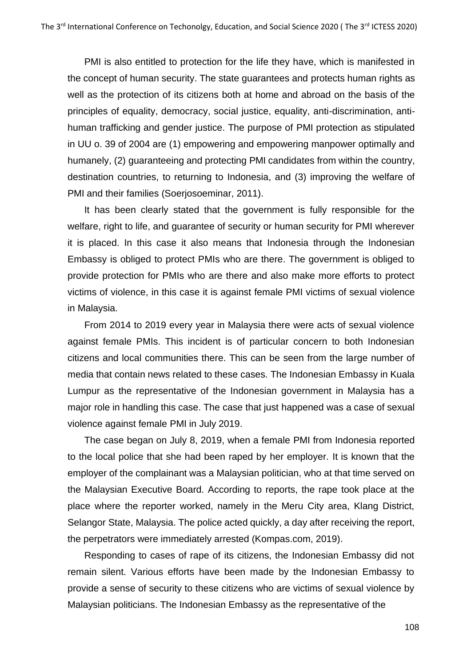PMI is also entitled to protection for the life they have, which is manifested in the concept of human security. The state guarantees and protects human rights as well as the protection of its citizens both at home and abroad on the basis of the principles of equality, democracy, social justice, equality, anti-discrimination, antihuman trafficking and gender justice. The purpose of PMI protection as stipulated in UU o. 39 of 2004 are (1) empowering and empowering manpower optimally and humanely, (2) guaranteeing and protecting PMI candidates from within the country, destination countries, to returning to Indonesia, and (3) improving the welfare of PMI and their families (Soerjosoeminar, 2011).

It has been clearly stated that the government is fully responsible for the welfare, right to life, and guarantee of security or human security for PMI wherever it is placed. In this case it also means that Indonesia through the Indonesian Embassy is obliged to protect PMIs who are there. The government is obliged to provide protection for PMIs who are there and also make more efforts to protect victims of violence, in this case it is against female PMI victims of sexual violence in Malaysia.

From 2014 to 2019 every year in Malaysia there were acts of sexual violence against female PMIs. This incident is of particular concern to both Indonesian citizens and local communities there. This can be seen from the large number of media that contain news related to these cases. The Indonesian Embassy in Kuala Lumpur as the representative of the Indonesian government in Malaysia has a major role in handling this case. The case that just happened was a case of sexual violence against female PMI in July 2019.

The case began on July 8, 2019, when a female PMI from Indonesia reported to the local police that she had been raped by her employer. It is known that the employer of the complainant was a Malaysian politician, who at that time served on the Malaysian Executive Board. According to reports, the rape took place at the place where the reporter worked, namely in the Meru City area, Klang District, Selangor State, Malaysia. The police acted quickly, a day after receiving the report, the perpetrators were immediately arrested (Kompas.com, 2019).

Responding to cases of rape of its citizens, the Indonesian Embassy did not remain silent. Various efforts have been made by the Indonesian Embassy to provide a sense of security to these citizens who are victims of sexual violence by Malaysian politicians. The Indonesian Embassy as the representative of the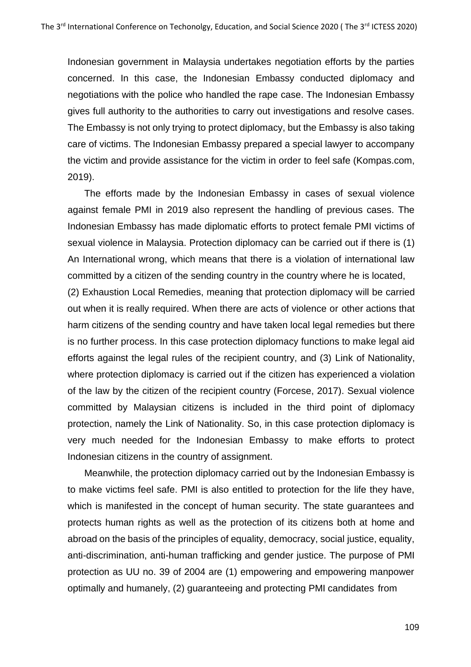Indonesian government in Malaysia undertakes negotiation efforts by the parties concerned. In this case, the Indonesian Embassy conducted diplomacy and negotiations with the police who handled the rape case. The Indonesian Embassy gives full authority to the authorities to carry out investigations and resolve cases. The Embassy is not only trying to protect diplomacy, but the Embassy is also taking care of victims. The Indonesian Embassy prepared a special lawyer to accompany the victim and provide assistance for the victim in order to feel safe (Kompas.com, 2019).

The efforts made by the Indonesian Embassy in cases of sexual violence against female PMI in 2019 also represent the handling of previous cases. The Indonesian Embassy has made diplomatic efforts to protect female PMI victims of sexual violence in Malaysia. Protection diplomacy can be carried out if there is (1) An International wrong, which means that there is a violation of international law committed by a citizen of the sending country in the country where he is located,

(2) Exhaustion Local Remedies, meaning that protection diplomacy will be carried out when it is really required. When there are acts of violence or other actions that harm citizens of the sending country and have taken local legal remedies but there is no further process. In this case protection diplomacy functions to make legal aid efforts against the legal rules of the recipient country, and (3) Link of Nationality, where protection diplomacy is carried out if the citizen has experienced a violation of the law by the citizen of the recipient country (Forcese, 2017). Sexual violence committed by Malaysian citizens is included in the third point of diplomacy protection, namely the Link of Nationality. So, in this case protection diplomacy is very much needed for the Indonesian Embassy to make efforts to protect Indonesian citizens in the country of assignment.

Meanwhile, the protection diplomacy carried out by the Indonesian Embassy is to make victims feel safe. PMI is also entitled to protection for the life they have, which is manifested in the concept of human security. The state guarantees and protects human rights as well as the protection of its citizens both at home and abroad on the basis of the principles of equality, democracy, social justice, equality, anti-discrimination, anti-human trafficking and gender justice. The purpose of PMI protection as UU no. 39 of 2004 are (1) empowering and empowering manpower optimally and humanely, (2) guaranteeing and protecting PMI candidates from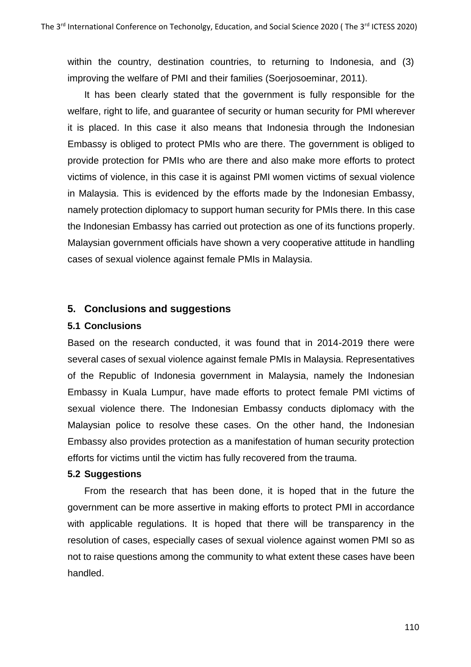within the country, destination countries, to returning to Indonesia, and (3) improving the welfare of PMI and their families (Soerjosoeminar, 2011).

It has been clearly stated that the government is fully responsible for the welfare, right to life, and guarantee of security or human security for PMI wherever it is placed. In this case it also means that Indonesia through the Indonesian Embassy is obliged to protect PMIs who are there. The government is obliged to provide protection for PMIs who are there and also make more efforts to protect victims of violence, in this case it is against PMI women victims of sexual violence in Malaysia. This is evidenced by the efforts made by the Indonesian Embassy, namely protection diplomacy to support human security for PMIs there. In this case the Indonesian Embassy has carried out protection as one of its functions properly. Malaysian government officials have shown a very cooperative attitude in handling cases of sexual violence against female PMIs in Malaysia.

### **5. Conclusions and suggestions**

#### **5.1 Conclusions**

Based on the research conducted, it was found that in 2014-2019 there were several cases of sexual violence against female PMIs in Malaysia. Representatives of the Republic of Indonesia government in Malaysia, namely the Indonesian Embassy in Kuala Lumpur, have made efforts to protect female PMI victims of sexual violence there. The Indonesian Embassy conducts diplomacy with the Malaysian police to resolve these cases. On the other hand, the Indonesian Embassy also provides protection as a manifestation of human security protection efforts for victims until the victim has fully recovered from the trauma.

#### **5.2 Suggestions**

From the research that has been done, it is hoped that in the future the government can be more assertive in making efforts to protect PMI in accordance with applicable regulations. It is hoped that there will be transparency in the resolution of cases, especially cases of sexual violence against women PMI so as not to raise questions among the community to what extent these cases have been handled.